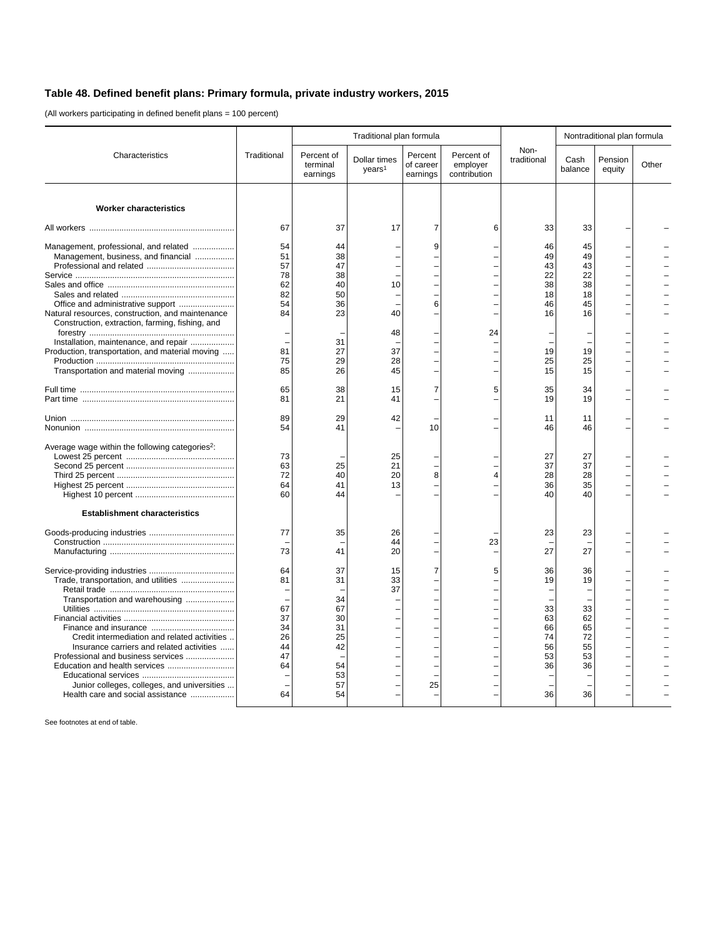## **Table 48. Defined benefit plans: Primary formula, private industry workers, 2015**

(All workers participating in defined benefit plans = 100 percent)

|                                                                                                                                                                                                                                                                                                                                | Traditional                                              | Traditional plan formula                                             |                                    |                                  |                                        |                                                          | Nontraditional plan formula                                   |                   |       |
|--------------------------------------------------------------------------------------------------------------------------------------------------------------------------------------------------------------------------------------------------------------------------------------------------------------------------------|----------------------------------------------------------|----------------------------------------------------------------------|------------------------------------|----------------------------------|----------------------------------------|----------------------------------------------------------|---------------------------------------------------------------|-------------------|-------|
| Characteristics                                                                                                                                                                                                                                                                                                                |                                                          | Percent of<br>terminal<br>earnings                                   | Dollar times<br>years <sup>1</sup> | Percent<br>of career<br>earnings | Percent of<br>employer<br>contribution | Non-<br>traditional                                      | Cash<br>balance                                               | Pension<br>equity | Other |
| <b>Worker characteristics</b>                                                                                                                                                                                                                                                                                                  |                                                          |                                                                      |                                    |                                  |                                        |                                                          |                                                               |                   |       |
|                                                                                                                                                                                                                                                                                                                                | 67                                                       | 37                                                                   | 17                                 | 7                                | 6                                      | 33                                                       | 33                                                            |                   |       |
| Management, professional, and related<br>Management, business, and financial                                                                                                                                                                                                                                                   | 54<br>51<br>57<br>78<br>62<br>82<br>54                   | 44<br>38<br>47<br>38<br>40<br>50<br>36                               | 10                                 | 9<br>6                           |                                        | 46<br>49<br>43<br>22<br>38<br>18<br>46                   | 45<br>49<br>43<br>22<br>38<br>18<br>45                        |                   |       |
| Natural resources, construction, and maintenance<br>Construction, extraction, farming, fishing, and                                                                                                                                                                                                                            | 84                                                       | 23                                                                   | 40<br>48                           |                                  | 24                                     | 16                                                       | 16                                                            |                   |       |
| Installation, maintenance, and repair<br>Production, transportation, and material moving<br>Transportation and material moving                                                                                                                                                                                                 | 81<br>75<br>85                                           | 31<br>27<br>29<br>26                                                 | 37<br>28<br>45                     |                                  |                                        | 19<br>25<br>15                                           | 19<br>25<br>15                                                |                   |       |
|                                                                                                                                                                                                                                                                                                                                | 65<br>81                                                 | 38<br>21                                                             | 15<br>41                           | 7                                | 5                                      | 35<br>19                                                 | 34<br>19                                                      |                   |       |
|                                                                                                                                                                                                                                                                                                                                | 89<br>54                                                 | 29<br>41                                                             | 42                                 | 10                               |                                        | 11<br>46                                                 | 11<br>46                                                      |                   |       |
| Average wage within the following categories <sup>2</sup> :                                                                                                                                                                                                                                                                    | 73<br>63<br>72<br>64<br>60                               | 25<br>40<br>41<br>44                                                 | 25<br>21<br>20<br>13               | 8                                | 4                                      | 27<br>37<br>28<br>36<br>40                               | 27<br>37<br>28<br>35<br>40                                    |                   |       |
| <b>Establishment characteristics</b>                                                                                                                                                                                                                                                                                           |                                                          |                                                                      |                                    |                                  |                                        |                                                          |                                                               |                   |       |
|                                                                                                                                                                                                                                                                                                                                | 77<br>73                                                 | 35<br>41                                                             | 26<br>44<br>20                     |                                  | 23                                     | 23<br>27                                                 | 23<br>27                                                      |                   |       |
| Trade, transportation, and utilities<br>Transportation and warehousing<br>Credit intermediation and related activities<br>Insurance carriers and related activities<br>Professional and business services<br>Education and health services<br>Junior colleges, colleges, and universities<br>Health care and social assistance | 64<br>81<br>67<br>37<br>34<br>26<br>44<br>47<br>64<br>64 | 37<br>31<br>34<br>67<br>30<br>31<br>25<br>42<br>54<br>53<br>57<br>54 | 15<br>33<br>37                     | 7<br>25                          | 5                                      | 36<br>19<br>33<br>63<br>66<br>74<br>56<br>53<br>36<br>36 | 36<br>19<br>۰<br>33<br>62<br>65<br>72<br>55<br>53<br>36<br>36 |                   |       |

See footnotes at end of table.